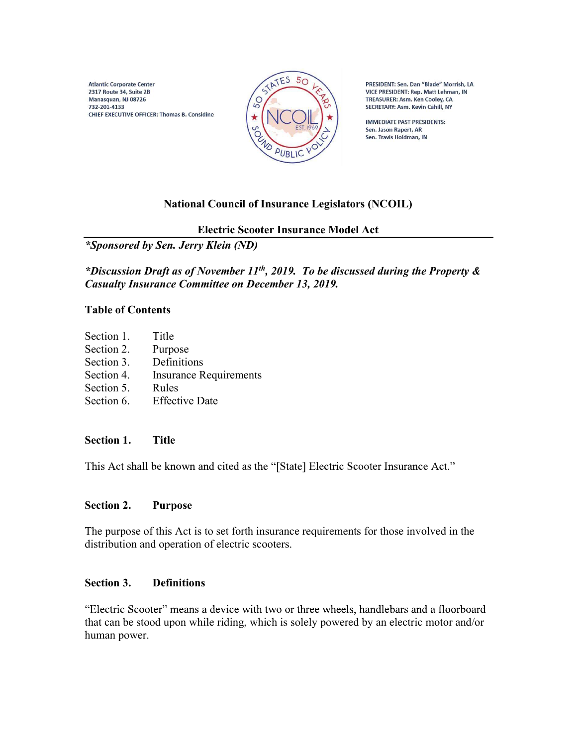**Atlantic Corporate Center** 2317 Route 34, Suite 2B Manasquan, NJ 08726 732-201-4133 CHIEF EXECUTIVE OFFICER: Thomas B. Considine



PRESIDENT: Sen. Dan "Blade" Morrish, LA VICE PRESIDENT: Rep. Matt Lehman, IN TREASURER: Asm. Ken Cooley, CA SECRETARY: Asm. Kevin Cahill, NY

**IMMEDIATE PAST PRESIDENTS:** Sen. Jason Rapert, AR Sen. Travis Holdman, IN

# National Council of Insurance Legislators (NCOIL)

Electric Scooter Insurance Model Act

\*Sponsored by Sen. Jerry Klein (ND)

\*Discussion Draft as of November 11<sup>th</sup>, 2019. To be discussed during the Property & Casualty Insurance Committee on December 13, 2019.

#### Table of Contents

Section 1. Title Section 2. Purpose Section 3. Definitions Section 4. Insurance Requirements Section 5. Rules Section 6. Effective Date

## Section 1. Title

This Act shall be known and cited as the "[State] Electric Scooter Insurance Act."

## Section 2. Purpose

The purpose of this Act is to set forth insurance requirements for those involved in the distribution and operation of electric scooters.

## Section 3. Definitions

"Electric Scooter" means a device with two or three wheels, handlebars and a floorboard that can be stood upon while riding, which is solely powered by an electric motor and/or human power.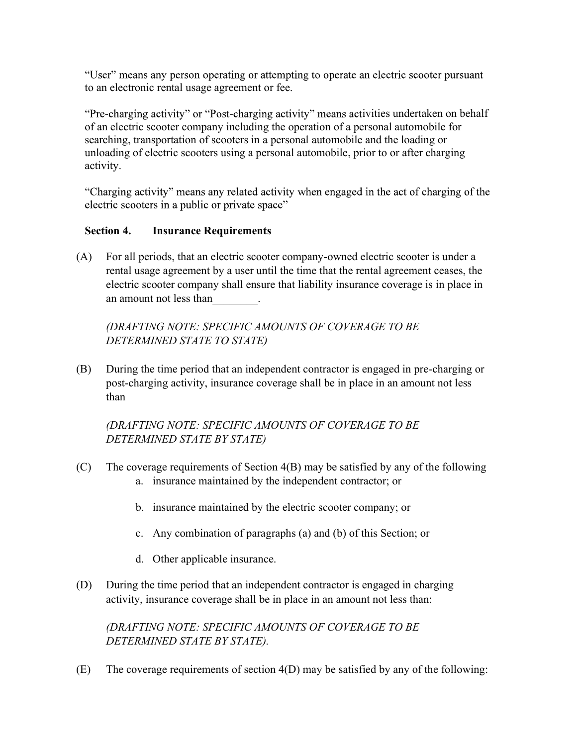"User" means any person operating or attempting to operate an electric scooter pursuant to an electronic rental usage agreement or fee.

"Pre-charging activity" or "Post-charging activity" means activities undertaken on behalf of an electric scooter company including the operation of a personal automobile for searching, transportation of scooters in a personal automobile and the loading or unloading of electric scooters using a personal automobile, prior to or after charging activity.

"Charging activity" means any related activity when engaged in the act of charging of the electric scooters in a public or private space"

## Section 4. Insurance Requirements

(A) For all periods, that an electric scooter company-owned electric scooter is under a rental usage agreement by a user until the time that the rental agreement ceases, the electric scooter company shall ensure that liability insurance coverage is in place in an amount not less than\_\_\_\_\_\_\_\_.

(DRAFTING NOTE: SPECIFIC AMOUNTS OF COVERAGE TO BE DETERMINED STATE TO STATE)

(B) During the time period that an independent contractor is engaged in pre-charging or post-charging activity, insurance coverage shall be in place in an amount not less than

# (DRAFTING NOTE: SPECIFIC AMOUNTS OF COVERAGE TO BE DETERMINED STATE BY STATE)

- (C) The coverage requirements of Section 4(B) may be satisfied by any of the following a. insurance maintained by the independent contractor; or
	- b. insurance maintained by the electric scooter company; or
	- c. Any combination of paragraphs (a) and (b) of this Section; or
	- d. Other applicable insurance.
- (D) During the time period that an independent contractor is engaged in charging activity, insurance coverage shall be in place in an amount not less than:

(DRAFTING NOTE: SPECIFIC AMOUNTS OF COVERAGE TO BE DETERMINED STATE BY STATE).

(E) The coverage requirements of section 4(D) may be satisfied by any of the following: